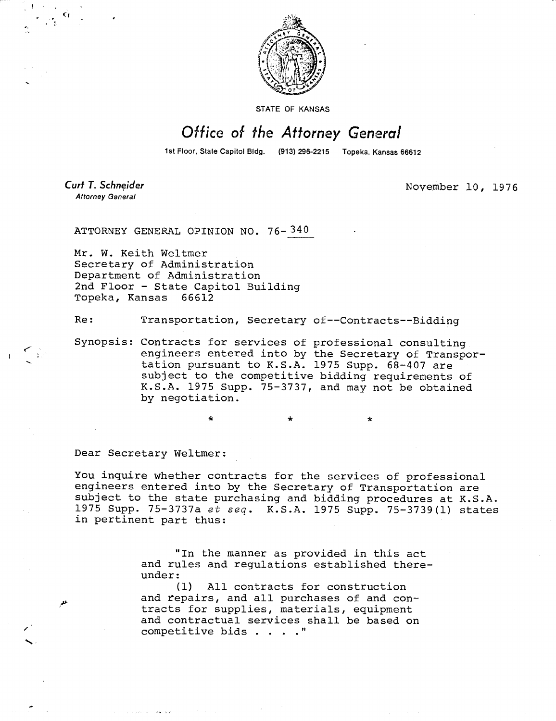

STATE OF KANSAS

## Office of the Attorney General

1st Floor, State Capitol Bidg. (913) 296-2215 Topeka, Kansas 66612

Curt T. Schneider **Attorney General** 

November 10, 1976

ATTORNEY GENERAL OPINION NO. 76-340

Mr. W. Keith Weltmer Secretary of Administration Department of Administration 2nd Floor - State Capitol Building Topeka, Kansas 66612

Re: Transportation, Secretary of--Contracts--Bidding

Synopsis: Contracts for services of professional consulting engineers entered into by the Secretary of Transportation pursuant to K.S.A. 1975 Supp. 68-407 are subject to the competitive bidding requirements of K.S.A. 1975 Supp. 75-3737, and may not be obtained by negotiation.

Dear Secretary Weitmer:

You inquire whether contracts for the services of professional engineers entered into by the Secretary of Transportation are subject to the state purchasing and bidding procedures at K.S.A. 1975 Supp. 75-3737a et seq. K.S.A. 1975 Supp. 75-3739(1) states in pertinent part thus:

> "In the manner as provided in this act and rules and regulations established thereunder:

(1) All contracts for construction and repairs, and all purchases of and contracts for supplies, materials, equipment and contractual services shall be based on competitive bids . . . ."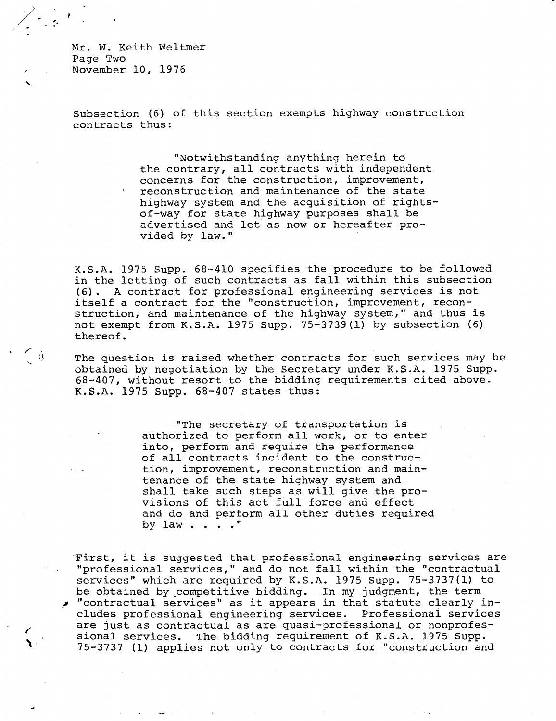Mr. W. Keith Weltmer Page Two November 10, 1976

 $\frac{1}{2}$ 

 $\left\langle \begin{array}{c} 0 \\ 0 \end{array} \right\rangle$ 

Subsection (6) of this section exempts highway construction contracts thus:

> "Notwithstanding anything herein to the contrary, all contracts with independent concerns for the construction, improvement, reconstruction and maintenance of the state highway system and the acquisition of rightsof-way for state highway purposes shall be advertised and let as now or hereafter provided by law."

K.S.A. 1975 Supp. 68-410 specifies the procedure to be followed in the letting of such contracts as fall within this subsection (6). A contract for professional engineering services is not itself a contract for the "construction, improvement, reconstruction, and maintenance of the highway system," and thus is not exempt from K.S.A. 1975 Supp. 75-3739(1) by subsection (6) thereof.

The question is raised whether contracts for such services may be obtained by negotiation by the Secretary under K.S.A. 1975 Supp. 68-407, without resort to the bidding requirements cited above. K.S.A. 1975 Supp. 68-407 states thus:

> "The secretary of transportation is authorized to perform all work, or to enter into, perform and require the performance of all contracts incident to the construction, improvement, reconstruction and maintenance of the state highway system and shall take such steps as will give the provisions of this act full force and effect and do and perform all other duties required by law . . . ."

First, it is suggested that professional engineering services are "professional services," and do not fall within the "contractual services" which are required by K.S.A. 1975 Supp. 75-3737(1) to be obtained by competitive bidding. In my judgment, the term "contractual services" as it appears in that statute clearly includes professional engineering services. Professional services are just as contractual as are quasi-professional or nonprofessional services. The bidding requirement of K.S.A. 1975 Supp. 75-3737 (1) applies not only to contracts for "construction and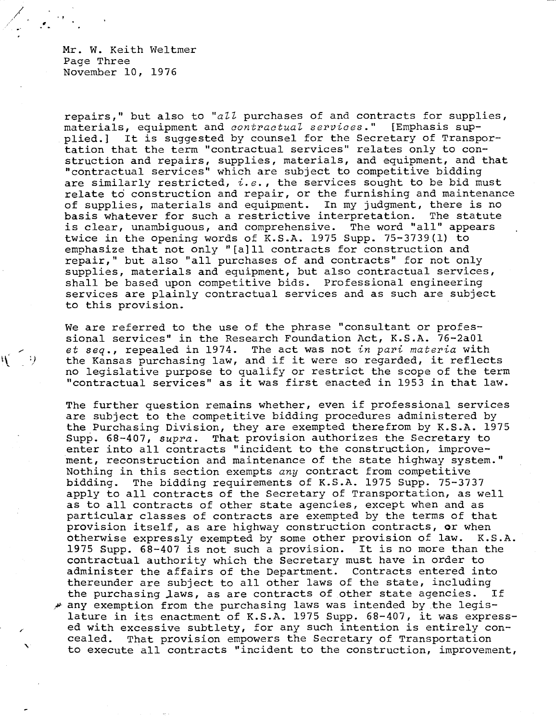Mr. W. Keith Weltmer Page Three November 10, 1976

 $\mathcal{H}^+$ 

- 4)

repairs," but also to "all purchases of and contracts for supplies, materials, equipment and contractual services." [Emphasis supplied.] It is suggested by counsel for the Secretary of Transportation that the term "contractual services" relates only to construction and repairs, supplies, materials, and equipment, and that "contractual services" which are subject to competitive bidding are similarly restricted,  $i.e.$ , the services sought to be bid must relate to construction and repair, or the furnishing and maintenance of supplies, materials and equipment. In my judgment, there is no basis whatever for such a restrictive interpretation. The statute is clear, unambiguous, and comprehensive. The word "all" appears twice in the opening words of K.S.A. 1975 Supp. 75-3739(1) to emphasize that not only "[a]ll contracts for construction and repair," but also "all purchases of and contracts" for not only supplies, materials and equipment, but also contractual services, shall be based upon competitive bids. Professional engineering services are plainly contractual services and as such are subject to this provision.

We are referred to the use of the phrase "consultant or professional services" in the Research Foundation Act, K.S.A. 76-2a01 et seq., repealed in 1974. The act was not in pari materia with the Kansas purchasing law, and if it were so regarded, it reflects no legislative purpose to qualify or restrict the scope of the term "contractual services" as it was first enacted in 1953 in that law.

The further question remains whether, even if professional services are subject to the competitive bidding procedures administered by the Purchasing Division, they are exempted therefrom by K.S.A. 1975 Supp. 68-407, supra. That provision authorizes the Secretary to enter into all contracts "incident to the construction, improvement, reconstruction and maintenance of the state highway system." Nothing in this section exempts any contract from competitive bidding. The bidding requirements of K.S.A. 1975 Supp. 75-3737 apply to all contracts of the Secretary of Transportation, as well as to all contracts of other state agencies, except when and as particular classes of contracts are exempted by the terms of that provision itself, as are highway construction contracts, or when otherwise expressly exempted by some other provision of law. K.S.A. 1975 Supp. 68-407 is not such a provision. It is no more than the contractual authority which the Secretary must have in order to administer the affairs of the Department. Contracts entered into thereunder are subject to all other laws of the state, including the purchasing laws, as are contracts of other state agencies. If any exemption from the purchasing laws was intended by the legislature in its enactment of K.S.A. 1975 Supp. 68-407, it was expressed with excessive subtlety, for any such intention is entirely concealed. That provision empowers the Secretary of Transportation to execute all contracts "incident to the construction, improvement,